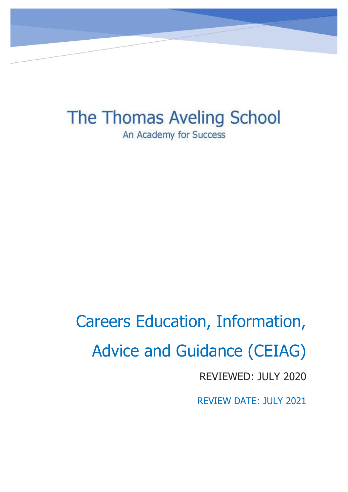The Thomas Aveling School An Academy for Success

Careers Education, Information, Advice and Guidance (CEIAG) REVIEWED: JULY 2020 REVIEW DATE: JULY 2021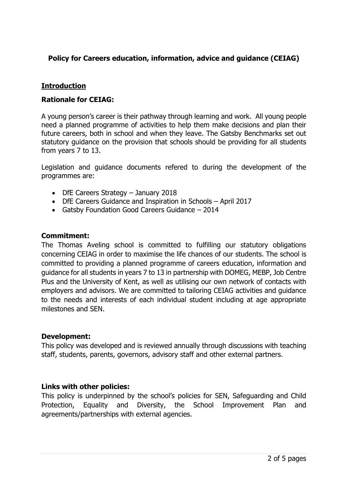## **Policy for Careers education, information, advice and guidance (CEIAG)**

## **Introduction**

### **Rationale for CEIAG:**

A young person's career is their pathway through learning and work. All young people need a planned programme of activities to help them make decisions and plan their future careers, both in school and when they leave. The Gatsby Benchmarks set out statutory guidance on the provision that schools should be providing for all students from years 7 to 13.

Legislation and guidance documents refered to during the development of the programmes are:

- DfE Careers Strategy January 2018
- DfE Careers Guidance and Inspiration in Schools April 2017
- Gatsby Foundation Good Careers Guidance 2014

#### **Commitment:**

The Thomas Aveling school is committed to fulfilling our statutory obligations concerning CEIAG in order to maximise the life chances of our students. The school is committed to providing a planned programme of careers education, information and guidance for all students in years 7 to 13 in partnership with DOMEG, MEBP, Job Centre Plus and the University of Kent, as well as utilising our own network of contacts with employers and advisors. We are committed to tailoring CEIAG activities and guidance to the needs and interests of each individual student including at age appropriate milestones and SEN.

### **Development:**

This policy was developed and is reviewed annually through discussions with teaching staff, students, parents, governors, advisory staff and other external partners.

### **Links with other policies:**

This policy is underpinned by the school's policies for SEN, Safeguarding and Child Protection, Equality and Diversity, the School Improvement Plan and agreements/partnerships with external agencies.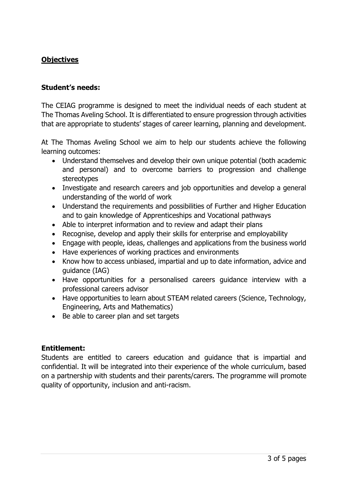# **Objectives**

### **Student's needs:**

The CEIAG programme is designed to meet the individual needs of each student at The Thomas Aveling School. It is differentiated to ensure progression through activities that are appropriate to students' stages of career learning, planning and development.

At The Thomas Aveling School we aim to help our students achieve the following learning outcomes:

- Understand themselves and develop their own unique potential (both academic and personal) and to overcome barriers to progression and challenge stereotypes
- Investigate and research careers and job opportunities and develop a general understanding of the world of work
- Understand the requirements and possibilities of Further and Higher Education and to gain knowledge of Apprenticeships and Vocational pathways
- Able to interpret information and to review and adapt their plans
- Recognise, develop and apply their skills for enterprise and employability
- Engage with people, ideas, challenges and applications from the business world
- Have experiences of working practices and environments
- Know how to access unbiased, impartial and up to date information, advice and guidance (IAG)
- Have opportunities for a personalised careers guidance interview with a professional careers advisor
- Have opportunities to learn about STEAM related careers (Science, Technology, Engineering, Arts and Mathematics)
- Be able to career plan and set targets

## **Entitlement:**

Students are entitled to careers education and guidance that is impartial and confidential. It will be integrated into their experience of the whole curriculum, based on a partnership with students and their parents/carers. The programme will promote quality of opportunity, inclusion and anti-racism.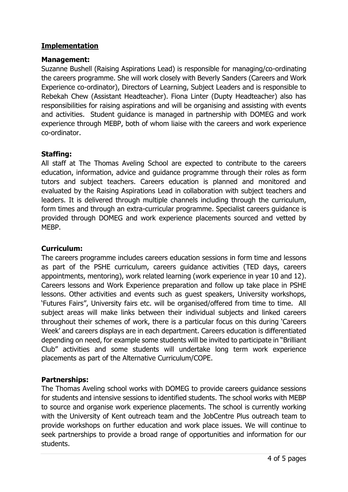## **Implementation**

### **Management:**

Suzanne Bushell (Raising Aspirations Lead) is responsible for managing/co-ordinating the careers programme. She will work closely with Beverly Sanders (Careers and Work Experience co-ordinator), Directors of Learning, Subject Leaders and is responsible to Rebekah Chew (Assistant Headteacher). Fiona Linter (Dupty Headteacher) also has responsibilities for raising aspirations and will be organising and assisting with events and activities. Student guidance is managed in partnership with DOMEG and work experience through MEBP, both of whom liaise with the careers and work experience co-ordinator.

### **Staffing:**

All staff at The Thomas Aveling School are expected to contribute to the careers education, information, advice and guidance programme through their roles as form tutors and subject teachers. Careers education is planned and monitored and evaluated by the Raising Aspirations Lead in collaboration with subject teachers and leaders. It is delivered through multiple channels including through the curriculum, form times and through an extra-curricular programme. Specialist careers guidance is provided through DOMEG and work experience placements sourced and vetted by MEBP.

## **Curriculum:**

The careers programme includes careers education sessions in form time and lessons as part of the PSHE curriculum, careers guidance activities (TED days, careers appointments, mentoring), work related learning (work experience in year 10 and 12). Careers lessons and Work Experience preparation and follow up take place in PSHE lessons. Other activities and events such as guest speakers, University workshops, 'Futures Fairs", University fairs etc. will be organised/offered from time to time. All subject areas will make links between their individual subjects and linked careers throughout their schemes of work, there is a particular focus on this during 'Careers Week' and careers displays are in each department. Careers education is differentiated depending on need, for example some students will be invited to participate in "Brilliant Club" activities and some students will undertake long term work experience placements as part of the Alternative Curriculum/COPE.

## **Partnerships:**

The Thomas Aveling school works with DOMEG to provide careers guidance sessions for students and intensive sessions to identified students. The school works with MEBP to source and organise work experience placements. The school is currently working with the University of Kent outreach team and the JobCentre Plus outreach team to provide workshops on further education and work place issues. We will continue to seek partnerships to provide a broad range of opportunities and information for our students.